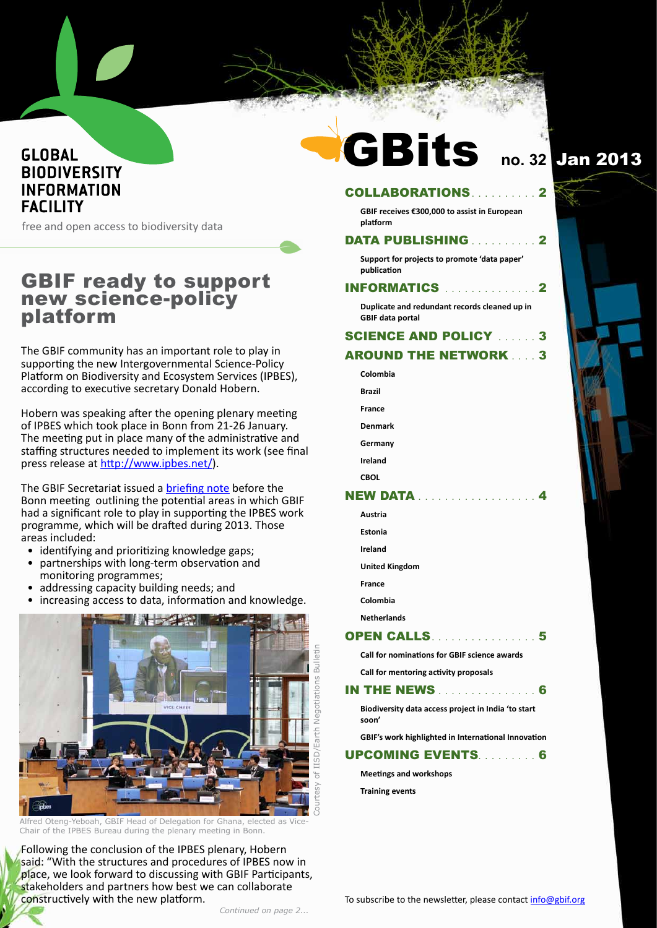## **GLOBAL BIODIVERSITY INFORMATION FACILITY**

free and open access to biodiversity data

## **GBIF ready to support** new science-policy platform

The GBIF community has an important role to play in supporting the new Intergovernmental Science-Policy Platform on Biodiversity and Ecosystem Services (IPBES), according to executive secretary Donald Hobern.

Hobern was speaking after the opening plenary meeting of IPBES which took place in Bonn from 21-26 January. The meeting put in place many of the administrative and staffing structures needed to implement its work (see final press release at http://www.ipbes.net/).

The GBIF Secretariat issued a briefing note before the Bonn meeting outlining the potential areas in which GBIF had a significant role to play in supporting the IPBES work programme, which will be drafted during 2013. Those areas included:

- identifying and prioritizing knowledge gaps;
- partnerships with long-term observation and monitoring programmes;
- addressing capacity building needs; and
- increasing access to data, information and knowledge.



Alfred Oteng-Yeboah, GBIF Head of Delegation for Ghana, elected as Vice Chair of the IPBES Bureau during the plenary meeting in Bonn.

Following the conclusion of the IPBES plenary, Hobern said: "With the structures and procedures of IPBES now in place, we look forward to discussing with GBIF Participants, stakeholders and partners how best we can collaborate constructively with the new platform.

# **Bits** G

# no. 32 Jan 2013

 $\overline{\mathbf{2}}$ 

#### **COLLABORATIONS**

GBIF receives €300,000 to assist in European platform

#### **DATA PUBLISHING ............ 2**

Support for projects to promote 'data paper' publication

#### **INFORMATICS** ............... 2

Duplicate and redundant records cleaned up in **GBIF data portal** 

## **SCIENCE AND POLICY ....... 3**

#### **AROUND THE NETWORK 33**

- Colombia
- **Brazil**
- Erance
- Denmark
- Germany
- Ireland
- **CBOL**

#### **NEW DATA**

| Austria               |  |  |  |  |  |
|-----------------------|--|--|--|--|--|
| Estonia               |  |  |  |  |  |
| Ireland               |  |  |  |  |  |
| <b>United Kingdom</b> |  |  |  |  |  |
| <b>France</b>         |  |  |  |  |  |
| Colombia              |  |  |  |  |  |
| <b>Netherlands</b>    |  |  |  |  |  |
| <b>OPEN CALLS.</b>    |  |  |  |  |  |

## Call for nominations for GBIF science awards

. . . . . . 5

Call for mentoring activity proposals

#### **IN THE NEWS** . . . . . . . . . . . . . 6

Biodiversity data access project in India 'to start soon'

GBIF's work highlighted in International Innovation

#### **UPCOMING EVENTS. . . . . . . . . 6**

**Meetings and workshops** 

**Training events**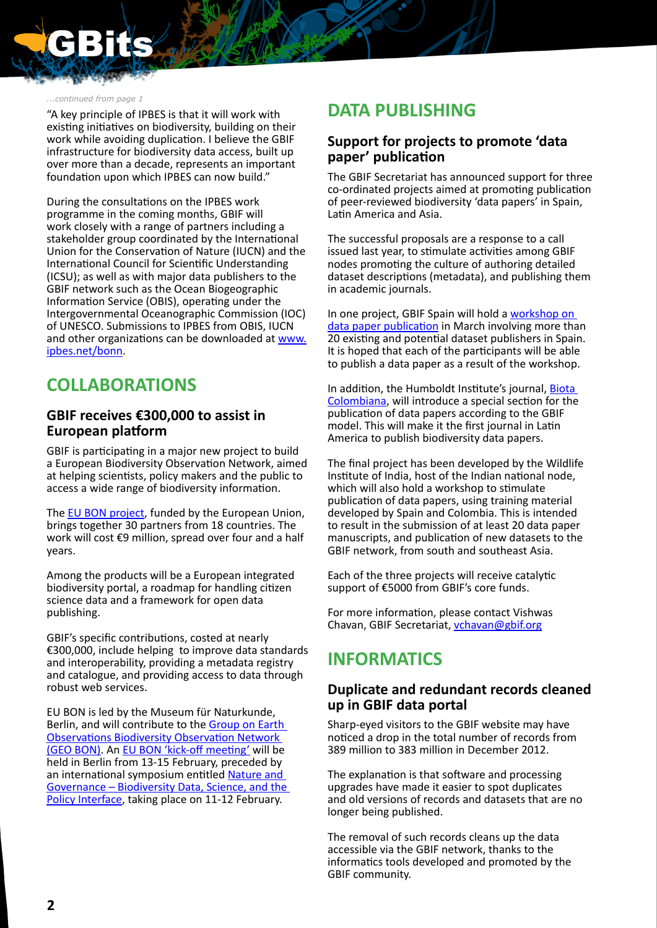<span id="page-1-0"></span>

#### *...continued from page 1*

"A key principle of IPBES is that it will work with existing initiatives on biodiversity, building on their work while avoiding duplication. I believe the GBIF infrastructure for biodiversity data access, built up over more than a decade, represents an important foundation upon which IPBES can now build."

During the consultations on the IPBES work programme in the coming months, GBIF will work closely with a range of partners including a stakeholder group coordinated by the International Union for the Conservation of Nature (IUCN) and the International Council for Scientific Understanding (ICSU); as well as with major data publishers to the GBIF network such as the Ocean Biogeographic Information Service (OBIS), operating under the Intergovernmental Oceanographic Commission (IOC) of UNESCO. Submissions to IPBES from OBIS, IUCN and other organizations can be downloaded at [www.](http://www.ipbes.net/bonn) [ipbes.net/bonn](http://www.ipbes.net/bonn).

## **COLLABORATIONS**

#### **GBIF receives €300,000 to assist in European platform**

GBIF is participating in a major new project to build a European Biodiversity Observation Network, aimed at helping scientists, policy makers and the public to access a wide range of biodiversity information.

The [EU BON project,](http://www.eubon.eu/) funded by the European Union, brings together 30 partners from 18 countries. The work will cost €9 million, spread over four and a half years.

Among the products will be a European integrated biodiversity portal, a roadmap for handling citizen science data and a framework for open data publishing.

GBIF's specific contributions, costed at nearly €300,000, include helping to improve data standards and interoperability, providing a metadata registry and catalogue, and providing access to data through robust web services.

EU BON is led by the Museum für Naturkunde, Berlin, and will contribute to the Group on Earth [Observations Biodiversity Observation Network](http://www.earthobservations.org/geobon.shtml)  [\(GEO BON\)](http://www.earthobservations.org/geobon.shtml). An [EU BON 'kick-off meeting'](http://www.symposium.eubon.eu/kickoff) will be held in Berlin from 13-15 February, preceded by an international symposium entitled [Nature and](http://www.symposium.eubon.eu/symposium-programme)  [Governance – Biodiversity Data, Science, and the](http://www.symposium.eubon.eu/symposium-programme)  [Policy Interface,](http://www.symposium.eubon.eu/symposium-programme) taking place on 11-12 February.

## **DATA PUBLISHING**

### **Support for projects to promote 'data paper' publication**

The GBIF Secretariat has announced support for three co-ordinated projects aimed at promoting publication of peer-reviewed biodiversity 'data papers' in Spain, Latin America and Asia.

The successful proposals are a response to a call issued last year, to stimulate activities among GBIF nodes promoting the culture of authoring detailed dataset descriptions (metadata), and publishing them in academic journals.

In one project, GBIF Spain will hold a workshop on [data paper publication](http://www.gbif.es/NoticiaDetalles_in.php?idNoti=432) in March involving more than 20 existing and potential dataset publishers in Spain. It is hoped that each of the participants will be able to publish a data paper as a result of the workshop.

In addition, the Humboldt Institute's journal, **Biota** [Colombiana](http://www.humboldt.org.co/ingles/en-biota.htm), will introduce a special section for the publication of data papers according to the GBIF model. This will make it the first journal in Latin America to publish biodiversity data papers.

The final project has been developed by the Wildlife Institute of India, host of the Indian national node, which will also hold a workshop to stimulate publication of data papers, using training material developed by Spain and Colombia. This is intended to result in the submission of at least 20 data paper manuscripts, and publication of new datasets to the GBIF network, from south and southeast Asia.

Each of the three projects will receive catalytic support of €5000 from GBIF's core funds.

For more information, please contact Vishwas Chavan, GBIF Secretariat, [vchavan@gbif.org](mailto:vchavan%40gbif.org?subject=)

## **INFORMATICS**

#### **Duplicate and redundant records cleaned up in GBIF data portal**

Sharp-eyed visitors to the GBIF website may have noticed a drop in the total number of records from 389 million to 383 million in December 2012.

The explanation is that software and processing upgrades have made it easier to spot duplicates and old versions of records and datasets that are no longer being published.

The removal of such records cleans up the data accessible via the GBIF network, thanks to the informatics tools developed and promoted by the GBIF community.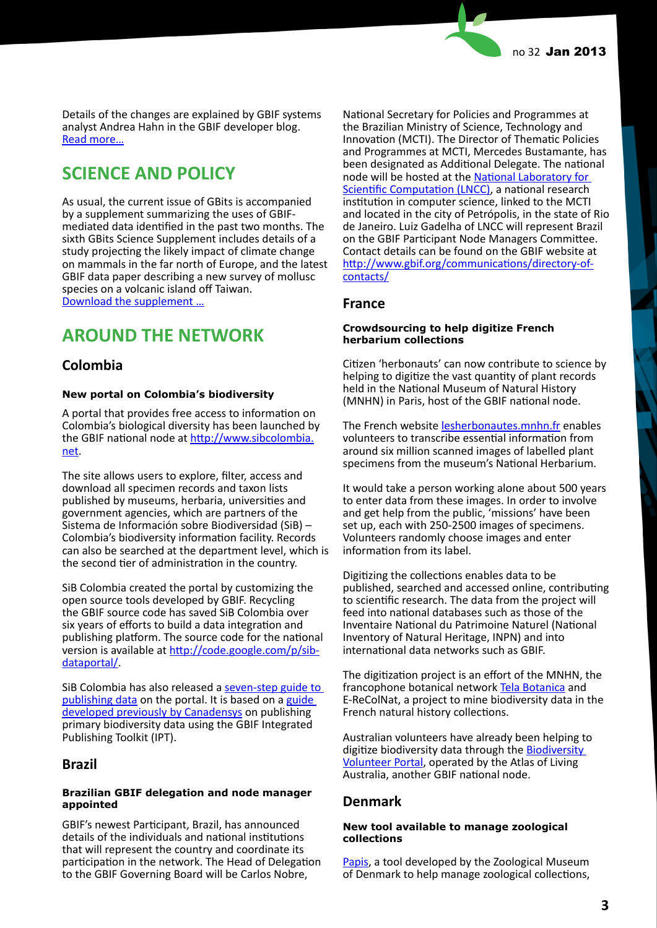<span id="page-2-0"></span>Details of the changes are explained by GBIF systems analyst Andrea Hahn in the GBIF developer blog. [Read more…](http://gbif.blogspot.dk/2012/12/i-noticed-that-gbif-data-portal-has.html)

## **SCIENCE AND POLICY**

As usual, the current issue of GBits is accompanied by a supplement summarizing the uses of GBIFmediated data identified in the past two months. The sixth GBits Science Supplement includes details of a study projecting the likely impact of climate change on mammals in the far north of Europe, and the latest GBIF data paper describing a new survey of mollusc species on a volcanic island off Taiwan. [Download the supplement …](http://www.gbif.org/orc/?doc_id=5093)

## **AROUND THE NETWORK**

### **Colombia**

#### **New portal on Colombia's biodiversity**

A portal that provides free access to information on Colombia's biological diversity has been launched by the GBIF national node at [http://www.sibcolombia.](http://www.sibcolombia.net) [net](http://www.sibcolombia.net).

The site allows users to explore, filter, access and download all specimen records and taxon lists published by museums, herbaria, universities and government agencies, which are partners of the Sistema de Información sobre Biodiversidad (SiB) – Colombia's biodiversity information facility. Records can also be searched at the department level, which is the second tier of administration in the country.

SiB Colombia created the portal by customizing the open source tools developed by GBIF. Recycling the GBIF source code has saved SiB Colombia over six years of efforts to build a data integration and publishing platform. The source code for the national version is available at [http://code.google.com/p/sib](http://code.google.com/p/sib-dataportal/)[dataportal/](http://code.google.com/p/sib-dataportal/).

SiB Colombia has also released a [seven-step guide to](http://www.sibcolombia.net/web/sib/guia-para-publicacion-de-datos-primarios-sobre-biodiversidad)  [publishing data](http://www.sibcolombia.net/web/sib/guia-para-publicacion-de-datos-primarios-sobre-biodiversidad) on the portal. It is based on a guide [developed previously by Canadensys](http://www.canadensys.net/publication/data-publication-guide) on publishing primary biodiversity data using the GBIF Integrated Publishing Toolkit (IPT).

#### **Brazil**

#### **Brazilian GBIF delegation and node manager appointed**

GBIF's newest Participant, Brazil, has announced details of the individuals and national institutions that will represent the country and coordinate its participation in the network. The Head of Delegation to the GBIF Governing Board will be Carlos Nobre,

National Secretary for Policies and Programmes at the Brazilian Ministry of Science, Technology and Innovation (MCTI). The Director of Thematic Policies and Programmes at MCTI, Mercedes Bustamante, has been designated as Additional Delegate. The national node will be hosted at the [National Laboratory for](http://www.lncc.br)  [Scientific Computation \(LNCC\)](http://www.lncc.br), a national research institution in computer science, linked to the MCTI and located in the city of Petrópolis, in the state of Rio de Janeiro. Luiz Gadelha of LNCC will represent Brazil on the GBIF Participant Node Managers Committee. Contact details can be found on the GBIF website at [http://www.gbif.org/communications/directory-of](http://www.gbif.org/communications/directory-of-contacts/)[contacts/](http://www.gbif.org/communications/directory-of-contacts/)

#### **France**

#### **Crowdsourcing to help digitize French herbarium collections**

Citizen 'herbonauts' can now contribute to science by helping to digitize the vast quantity of plant records held in the National Museum of Natural History (MNHN) in Paris, host of the GBIF national node.

The French website [lesherbonautes.mnhn.fr](http://lesherbonautes.mnhn.fr/) enables volunteers to transcribe essential information from around six million scanned images of labelled plant specimens from the museum's National Herbarium.

It would take a person working alone about 500 years to enter data from these images. In order to involve and get help from the public, 'missions' have been set up, each with 250-2500 images of specimens. Volunteers randomly choose images and enter information from its label.

Digitizing the collections enables data to be published, searched and accessed online, contributing to scientific research. The data from the project will feed into national databases such as those of the Inventaire National du Patrimoine Naturel (National Inventory of Natural Heritage, INPN) and into international data networks such as GBIF.

The digitization project is an effort of the MNHN, the francophone botanical network [Tela Botanica](http://www.tela-botanica.org) and E-ReColNat, a project to mine biodiversity data in the French natural history collections.

Australian volunteers have already been helping to digitize biodiversity data through the **Biodiversity** [Volunteer Portal,](http://volunteer.ala.org.au/) operated by the Atlas of Living Australia, another GBIF national node.

### **Denmark**

#### **New tool available to manage zoological collections**

[Papis](http://www.papis.dk), a tool developed by the Zoological Museum of Denmark to help manage zoological collections,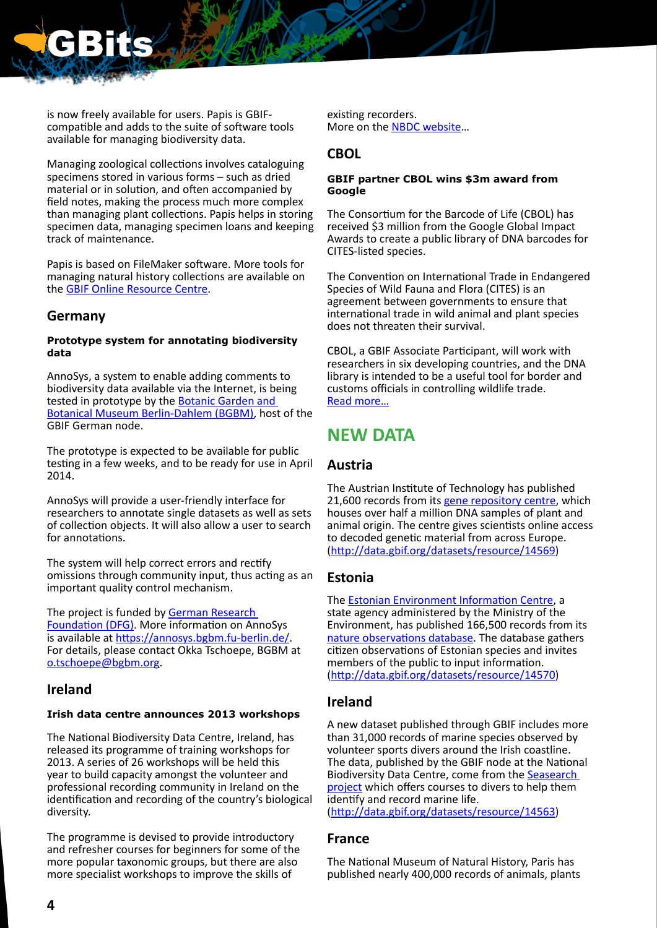<span id="page-3-0"></span>

is now freely available for users. Papis is GBIFcompatible and adds to the suite of software tools available for managing biodiversity data.

Managing zoological collections involves cataloguing specimens stored in various forms – such as dried material or in solution, and often accompanied by field notes, making the process much more complex than managing plant collections. Papis helps in storing specimen data, managing specimen loans and keeping track of maintenance.

Papis is based on FileMaker software. More tools for managing natural history collections are available on the [GBIF Online Resource Centre](http://www.gbif.org/orc).

### **Germany**

#### **Prototype system for annotating biodiversity data**

AnnoSys, a system to enable adding comments to biodiversity data available via the Internet, is being tested in prototype by the **Botanic Garden and** [Botanical Museum Berlin-Dahlem \(BGBM\),](http://www.bgbm.org/) host of the GBIF German node.

The prototype is expected to be available for public testing in a few weeks, and to be ready for use in April 2014.

AnnoSys will provide a user-friendly interface for researchers to annotate single datasets as well as sets of collection objects. It will also allow a user to search for annotations.

The system will help correct errors and rectify omissions through community input, thus acting as an important quality control mechanism.

The project is funded by [German Research](http://www.dfg.de/en/)  [Foundation \(DFG\)](http://www.dfg.de/en/). More information on AnnoSys is available at <https://annosys.bgbm.fu-berlin.de/> For details, please contact Okka Tschoepe, BGBM at [o.tschoepe@bgbm.org.](mailto:o.tschoepe%40bgbm.org?subject=)

### **Ireland**

#### **Irish data centre announces 2013 workshops**

The National Biodiversity Data Centre, Ireland, has released its programme of training workshops for 2013. A series of 26 workshops will be held this year to build capacity amongst the volunteer and professional recording community in Ireland on the identification and recording of the country's biological diversity.

The programme is devised to provide introductory and refresher courses for beginners for some of the more popular taxonomic groups, but there are also more specialist workshops to improve the skills of

existing recorders. More on the [NBDC website…](http://www.biodiversityireland.ie/identifying-recording-irelands-biodiversity-2013-workshop-programme/)

#### **CBOL**

#### **GBIF partner CBOL wins \$3m award from Google**

The Consortium for the Barcode of Life (CBOL) has received \$3 million from the Google Global Impact Awards to create a public library of DNA barcodes for CITES-listed species.

The Convention on International Trade in Endangered Species of Wild Fauna and Flora (CITES) is an agreement between governments to ensure that international trade in wild animal and plant species does not threaten their survival.

CBOL, a GBIF Associate Participant, will work with researchers in six developing countries, and the DNA library is intended to be a useful tool for border and customs officials in controlling wildlife trade. [Read more…](http://www.google.com/giving/impact-awards.html)

## **NEW DATA**

## **Austria**

The Austrian Institute of Technology has published 21,600 records from its [gene repository centre,](http://www.ait.ac.at/research-services/research-services-health-environment/resource-center/?L=1) which houses over half a million DNA samples of plant and animal origin. The centre gives scientists online access to decoded genetic material from across Europe. (<http://data.gbif.org/datasets/resource/14569>)

### **Estonia**

The [Estonian Environment Information Centre](http://www.keskkonnainfo.ee/main/index.php/en), a state agency administered by the Ministry of the Environment, has published 166,500 records from its [nature observations database.](http://loodus.keskkonnainfo.ee/LVA/LVA.aspx?page=lvadb) The database gathers citizen observations of Estonian species and invites members of the public to input information. (<http://data.gbif.org/datasets/resource/14570>)

### **Ireland**

A new dataset published through GBIF includes more than 31,000 records of marine species observed by volunteer sports divers around the Irish coastline. The data, published by the GBIF node at the National Biodiversity Data Centre, come from the [Seasearch](http://www.seasearch.org.uk/)  [project](http://www.seasearch.org.uk/) which offers courses to divers to help them identify and record marine life.

(<http://data.gbif.org/datasets/resource/14563>)

### **France**

The National Museum of Natural History, Paris has published nearly 400,000 records of animals, plants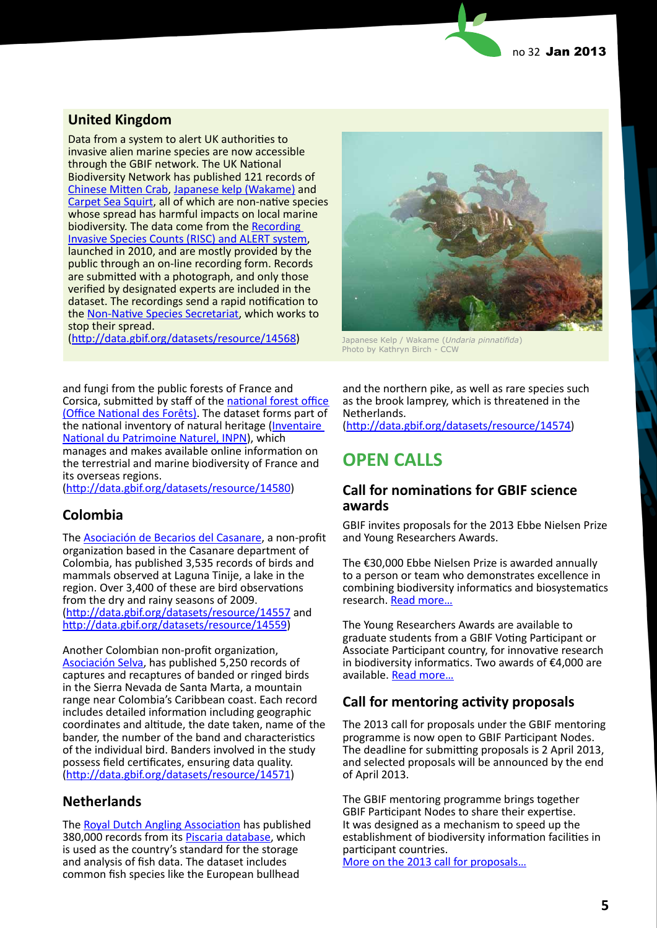## <span id="page-4-0"></span>**United Kingdom**

Data from a system to alert UK authorities to invasive alien marine species are now accessible through the GBIF network. The UK National Biodiversity Network has published 121 records of [Chinese Mitten Crab](https://secure.fera.defra.gov.uk/nonnativespecies/factsheet/factsheet.cfm?speciesId=1379), [Japanese kelp \(Wakame\)](https://secure.fera.defra.gov.uk/nonnativespecies/gallery/index.cfm?imageid=1701) and [Carpet Sea Squirt,](https://secure.fera.defra.gov.uk/nonnativespecies/factsheet/factsheet.cfm?speciesId=1209) all of which are non-native species whose spread has harmful impacts on local marine biodiversity. The data come from the [Recording](http://www.nonnativespecies.org/recording)  [Invasive Species Counts \(RISC\) and ALERT system](http://www.nonnativespecies.org/recording), launched in 2010, and are mostly provided by the public through an on-line recording form. Records are submitted with a photograph, and only those verified by designated experts are included in the dataset. The recordings send a rapid notification to the [Non-Native Species Secretariat](https://secure.fera.defra.gov.uk/nonnativespecies/home/index.cfm), which works to stop their spread.

(<http://data.gbif.org/datasets/resource/14568>) Japanese Kelp / Wakame (*Undaria pinnatifida*)

and fungi from the public forests of France and Corsica, submitted by staff of the [national forest office](http://www.onf.fr)  [\(Office National des Forêts\)](http://www.onf.fr). The dataset forms part of the national inventory of natural heritage (Inventaire [National du Patrimoine Naturel, INPN\)](http://inpn.mnhn.fr/accueil/index?lg=en), which manages and makes available online information on the terrestrial and marine biodiversity of France and its overseas regions.

[\(http://data.gbif.org/datasets/resource/14580](http://data.gbif.org/datasets/resource/14580))

### **Colombia**

The [Asociación de Becarios del Casanare](http://www.abccolombia.org/), a non-profit organization based in the Casanare department of Colombia, has published 3,535 records of birds and mammals observed at Laguna Tinije, a lake in the region. Over 3,400 of these are bird observations from the dry and rainy seasons of 2009. [\(http://data.gbif.org/datasets/resource/14557](http://data.gbif.org/datasets/resource/14557) and <http://data.gbif.org/datasets/resource/14559>)

Another Colombian non-profit organization, [Asociación Selva,](http://selva.org.co/) has published 5,250 records of captures and recaptures of banded or ringed birds in the Sierra Nevada de Santa Marta, a mountain range near Colombia's Caribbean coast. Each record includes detailed information including geographic coordinates and altitude, the date taken, name of the bander, the number of the band and characteristics of the individual bird. Banders involved in the study possess field certificates, ensuring data quality. [\(http://data.gbif.org/datasets/resource/14571](http://data.gbif.org/datasets/resource/14571))

## **Netherlands**

The [Royal Dutch Angling Association](http://www.sportvisserijnederland.nl/) has published 380,000 records from its [Piscaria database](http://www.piscaria.nl/), which is used as the country's standard for the storage and analysis of fish data. The dataset includes common fish species like the European bullhead



Photo by Kathryn Birch - CCW

and the northern pike, as well as rare species such as the brook lamprey, which is threatened in the Netherlands.

(<http://data.gbif.org/datasets/resource/14574>)

# **OPEN CALLS**

### **Call for nominations for GBIF science awards**

GBIF invites proposals for the 2013 Ebbe Nielsen Prize and Young Researchers Awards.

The €30,000 Ebbe Nielsen Prize is awarded annually to a person or team who demonstrates excellence in combining biodiversity informatics and biosystematics research. [Read more…](http://www.gbif.org/communications/news-and-events/showsingle/article/call-for-nominations-for-the-2013-ebbe-nielsen-prize/)

The Young Researchers Awards are available to graduate students from a GBIF Voting Participant or Associate Participant country, for innovative research in biodiversity informatics. Two awards of €4,000 are available. [Read more…](http://www.gbif.org/communications/news-and-events/showsingle/article/call-for-proposals-for-the-2013-young-researchers-award/)

## **Call for mentoring activity proposals**

The 2013 call for proposals under the GBIF mentoring programme is now open to GBIF Participant Nodes. The deadline for submitting proposals is 2 April 2013, and selected proposals will be announced by the end of April 2013.

The GBIF mentoring programme brings together GBIF Participant Nodes to share their expertise. It was designed as a mechanism to speed up the establishment of biodiversity information facilities in participant countries.

[More on the 2013 call for proposals…](http://www.gbif.org/communications/news-and-events/opportunities/)